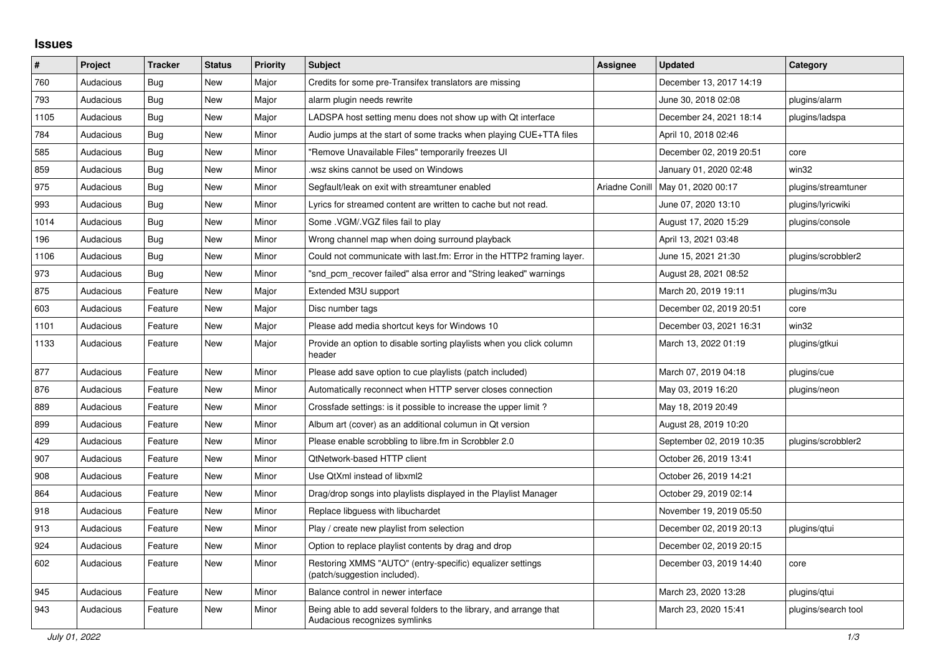## **Issues**

| ∦    | Project   | <b>Tracker</b> | <b>Status</b> | <b>Priority</b> | <b>Subject</b>                                                                                      | <b>Assignee</b> | <b>Updated</b>                      | Category            |
|------|-----------|----------------|---------------|-----------------|-----------------------------------------------------------------------------------------------------|-----------------|-------------------------------------|---------------------|
| 760  | Audacious | Bug            | <b>New</b>    | Major           | Credits for some pre-Transifex translators are missing                                              |                 | December 13, 2017 14:19             |                     |
| 793  | Audacious | Bug            | <b>New</b>    | Major           | alarm plugin needs rewrite                                                                          |                 | June 30, 2018 02:08                 | plugins/alarm       |
| 1105 | Audacious | <b>Bug</b>     | <b>New</b>    | Major           | LADSPA host setting menu does not show up with Qt interface                                         |                 | December 24, 2021 18:14             | plugins/ladspa      |
| 784  | Audacious | Bug            | New           | Minor           | Audio jumps at the start of some tracks when playing CUE+TTA files                                  |                 | April 10, 2018 02:46                |                     |
| 585  | Audacious | Bug            | <b>New</b>    | Minor           | "Remove Unavailable Files" temporarily freezes UI                                                   |                 | December 02, 2019 20:51             | core                |
| 859  | Audacious | Bug            | <b>New</b>    | Minor           | wsz skins cannot be used on Windows                                                                 |                 | January 01, 2020 02:48              | win32               |
| 975  | Audacious | <b>Bug</b>     | <b>New</b>    | Minor           | Segfault/leak on exit with streamtuner enabled                                                      |                 | Ariadne Conill   May 01, 2020 00:17 | plugins/streamtuner |
| 993  | Audacious | Bug            | New           | Minor           | Lyrics for streamed content are written to cache but not read.                                      |                 | June 07, 2020 13:10                 | plugins/lyricwiki   |
| 1014 | Audacious | Bug            | <b>New</b>    | Minor           | Some .VGM/.VGZ files fail to play                                                                   |                 | August 17, 2020 15:29               | plugins/console     |
| 196  | Audacious | <b>Bug</b>     | <b>New</b>    | Minor           | Wrong channel map when doing surround playback                                                      |                 | April 13, 2021 03:48                |                     |
| 1106 | Audacious | Bug            | New           | Minor           | Could not communicate with last.fm: Error in the HTTP2 framing layer.                               |                 | June 15, 2021 21:30                 | plugins/scrobbler2  |
| 973  | Audacious | Bug            | <b>New</b>    | Minor           | "snd pcm recover failed" alsa error and "String leaked" warnings                                    |                 | August 28, 2021 08:52               |                     |
| 875  | Audacious | Feature        | <b>New</b>    | Major           | Extended M3U support                                                                                |                 | March 20, 2019 19:11                | plugins/m3u         |
| 603  | Audacious | Feature        | <b>New</b>    | Major           | Disc number tags                                                                                    |                 | December 02, 2019 20:51             | core                |
| 1101 | Audacious | Feature        | <b>New</b>    | Major           | Please add media shortcut keys for Windows 10                                                       |                 | December 03, 2021 16:31             | win32               |
| 1133 | Audacious | Feature        | <b>New</b>    | Major           | Provide an option to disable sorting playlists when you click column<br>header                      |                 | March 13, 2022 01:19                | plugins/gtkui       |
| 877  | Audacious | Feature        | <b>New</b>    | Minor           | Please add save option to cue playlists (patch included)                                            |                 | March 07, 2019 04:18                | plugins/cue         |
| 876  | Audacious | Feature        | New           | Minor           | Automatically reconnect when HTTP server closes connection                                          |                 | May 03, 2019 16:20                  | plugins/neon        |
| 889  | Audacious | Feature        | <b>New</b>    | Minor           | Crossfade settings: is it possible to increase the upper limit?                                     |                 | May 18, 2019 20:49                  |                     |
| 899  | Audacious | Feature        | <b>New</b>    | Minor           | Album art (cover) as an additional columun in Qt version                                            |                 | August 28, 2019 10:20               |                     |
| 429  | Audacious | Feature        | <b>New</b>    | Minor           | Please enable scrobbling to libre.fm in Scrobbler 2.0                                               |                 | September 02, 2019 10:35            | plugins/scrobbler2  |
| 907  | Audacious | Feature        | New           | Minor           | QtNetwork-based HTTP client                                                                         |                 | October 26, 2019 13:41              |                     |
| 908  | Audacious | Feature        | <b>New</b>    | Minor           | Use QtXml instead of libxml2                                                                        |                 | October 26, 2019 14:21              |                     |
| 864  | Audacious | Feature        | <b>New</b>    | Minor           | Drag/drop songs into playlists displayed in the Playlist Manager                                    |                 | October 29, 2019 02:14              |                     |
| 918  | Audacious | Feature        | <b>New</b>    | Minor           | Replace libguess with libuchardet                                                                   |                 | November 19, 2019 05:50             |                     |
| 913  | Audacious | Feature        | <b>New</b>    | Minor           | Play / create new playlist from selection                                                           |                 | December 02, 2019 20:13             | plugins/gtui        |
| 924  | Audacious | Feature        | <b>New</b>    | Minor           | Option to replace playlist contents by drag and drop                                                |                 | December 02, 2019 20:15             |                     |
| 602  | Audacious | Feature        | New           | Minor           | Restoring XMMS "AUTO" (entry-specific) equalizer settings<br>(patch/suggestion included).           |                 | December 03, 2019 14:40             | core                |
| 945  | Audacious | Feature        | <b>New</b>    | Minor           | Balance control in newer interface                                                                  |                 | March 23, 2020 13:28                | plugins/qtui        |
| 943  | Audacious | Feature        | <b>New</b>    | Minor           | Being able to add several folders to the library, and arrange that<br>Audacious recognizes symlinks |                 | March 23, 2020 15:41                | plugins/search tool |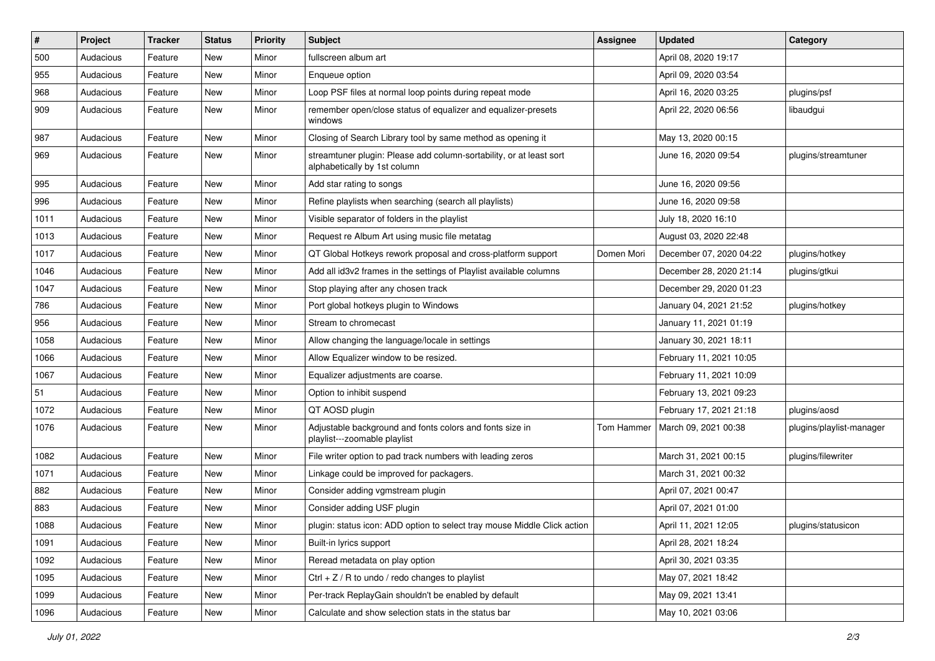| $\vert$ # | Project   | <b>Tracker</b> | <b>Status</b> | <b>Priority</b> | <b>Subject</b>                                                                                      | <b>Assignee</b> | <b>Updated</b>          | Category                 |
|-----------|-----------|----------------|---------------|-----------------|-----------------------------------------------------------------------------------------------------|-----------------|-------------------------|--------------------------|
| 500       | Audacious | Feature        | New           | Minor           | fullscreen album art                                                                                |                 | April 08, 2020 19:17    |                          |
| 955       | Audacious | Feature        | New           | Minor           | Enqueue option                                                                                      |                 | April 09, 2020 03:54    |                          |
| 968       | Audacious | Feature        | New           | Minor           | Loop PSF files at normal loop points during repeat mode                                             |                 | April 16, 2020 03:25    | plugins/psf              |
| 909       | Audacious | Feature        | New           | Minor           | remember open/close status of equalizer and equalizer-presets<br>windows                            |                 | April 22, 2020 06:56    | libaudgui                |
| 987       | Audacious | Feature        | New           | Minor           | Closing of Search Library tool by same method as opening it                                         |                 | May 13, 2020 00:15      |                          |
| 969       | Audacious | Feature        | New           | Minor           | streamtuner plugin: Please add column-sortability, or at least sort<br>alphabetically by 1st column |                 | June 16, 2020 09:54     | plugins/streamtuner      |
| 995       | Audacious | Feature        | <b>New</b>    | Minor           | Add star rating to songs                                                                            |                 | June 16, 2020 09:56     |                          |
| 996       | Audacious | Feature        | New           | Minor           | Refine playlists when searching (search all playlists)                                              |                 | June 16, 2020 09:58     |                          |
| 1011      | Audacious | Feature        | New           | Minor           | Visible separator of folders in the playlist                                                        |                 | July 18, 2020 16:10     |                          |
| 1013      | Audacious | Feature        | New           | Minor           | Request re Album Art using music file metatag                                                       |                 | August 03, 2020 22:48   |                          |
| 1017      | Audacious | Feature        | New           | Minor           | QT Global Hotkeys rework proposal and cross-platform support                                        | Domen Mori      | December 07, 2020 04:22 | plugins/hotkey           |
| 1046      | Audacious | Feature        | New           | Minor           | Add all id3v2 frames in the settings of Playlist available columns                                  |                 | December 28, 2020 21:14 | plugins/gtkui            |
| 1047      | Audacious | Feature        | New           | Minor           | Stop playing after any chosen track                                                                 |                 | December 29, 2020 01:23 |                          |
| 786       | Audacious | Feature        | New           | Minor           | Port global hotkeys plugin to Windows                                                               |                 | January 04, 2021 21:52  | plugins/hotkey           |
| 956       | Audacious | Feature        | New           | Minor           | Stream to chromecast                                                                                |                 | January 11, 2021 01:19  |                          |
| 1058      | Audacious | Feature        | New           | Minor           | Allow changing the language/locale in settings                                                      |                 | January 30, 2021 18:11  |                          |
| 1066      | Audacious | Feature        | New           | Minor           | Allow Equalizer window to be resized.                                                               |                 | February 11, 2021 10:05 |                          |
| 1067      | Audacious | Feature        | New           | Minor           | Equalizer adjustments are coarse.                                                                   |                 | February 11, 2021 10:09 |                          |
| 51        | Audacious | Feature        | New           | Minor           | Option to inhibit suspend                                                                           |                 | February 13, 2021 09:23 |                          |
| 1072      | Audacious | Feature        | New           | Minor           | QT AOSD plugin                                                                                      |                 | February 17, 2021 21:18 | plugins/aosd             |
| 1076      | Audacious | Feature        | New           | Minor           | Adjustable background and fonts colors and fonts size in<br>playlist---zoomable playlist            | Tom Hammer      | March 09, 2021 00:38    | plugins/playlist-manager |
| 1082      | Audacious | Feature        | New           | Minor           | File writer option to pad track numbers with leading zeros                                          |                 | March 31, 2021 00:15    | plugins/filewriter       |
| 1071      | Audacious | Feature        | New           | Minor           | Linkage could be improved for packagers.                                                            |                 | March 31, 2021 00:32    |                          |
| 882       | Audacious | Feature        | New           | Minor           | Consider adding vgmstream plugin                                                                    |                 | April 07, 2021 00:47    |                          |
| 883       | Audacious | Feature        | New           | Minor           | Consider adding USF plugin                                                                          |                 | April 07, 2021 01:00    |                          |
| 1088      | Audacious | Feature        | New           | Minor           | plugin: status icon: ADD option to select tray mouse Middle Click action                            |                 | April 11, 2021 12:05    | plugins/statusicon       |
| 1091      | Audacious | Feature        | New           | Minor           | Built-in lyrics support                                                                             |                 | April 28, 2021 18:24    |                          |
| 1092      | Audacious | Feature        | New           | Minor           | Reread metadata on play option                                                                      |                 | April 30, 2021 03:35    |                          |
| 1095      | Audacious | Feature        | New           | Minor           | Ctrl $+$ Z / R to undo / redo changes to playlist                                                   |                 | May 07, 2021 18:42      |                          |
| 1099      | Audacious | Feature        | New           | Minor           | Per-track ReplayGain shouldn't be enabled by default                                                |                 | May 09, 2021 13:41      |                          |
| 1096      | Audacious | Feature        | New           | Minor           | Calculate and show selection stats in the status bar                                                |                 | May 10, 2021 03:06      |                          |